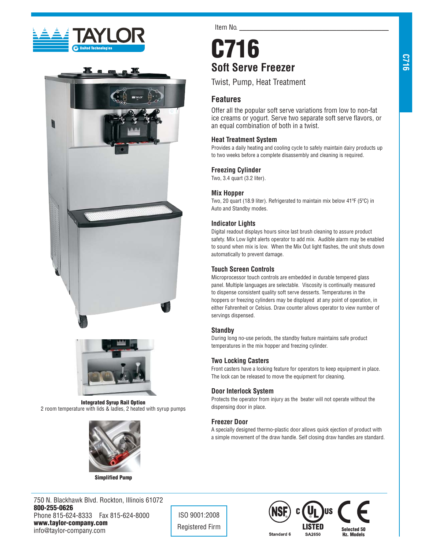





**Integrated Syrup Rail Option**  2 room temperature with lids & ladles, 2 heated with syrup pumps



**Simplified Pump**

750 N. Blackhawk Blvd. Rockton, Illinois 61072 **800-255-0626** Phone 815-624-8333 Fax 815-624-8000 **www.taylor-company.com** info@taylor-company.com

Item No.

# **C716 Soft Serve Freezer**

Twist, Pump, Heat Treatment

## **Features**

 Offer all the popular soft serve variations from low to non-fat ice creams or yogurt. Serve two separate soft serve flavors, or an equal combination of both in a twist.

## **Heat Treatment System**

Provides a daily heating and cooling cycle to safely maintain dairy products up to two weeks before a complete disassembly and cleaning is required.

#### **Freezing Cylinder**

Two, 3.4 quart (3.2 liter).

#### **Mix Hopper**

Two, 20 quart (18.9 liter). Refrigerated to maintain mix below 41ºF (5ºC) in Auto and Standby modes.

#### **Indicator Lights**

Digital readout displays hours since last brush cleaning to assure product safety. Mix Low light alerts operator to add mix. Audible alarm may be enabled to sound when mix is low. When the Mix Out light flashes, the unit shuts down automatically to prevent damage.

## **Touch Screen Controls**

Microprocessor touch controls are embedded in durable tempered glass panel. Multiple languages are selectable. Viscosity is continually measured to dispense consistent quality soft serve desserts. Temperatures in the hoppers or freezing cylinders may be displayed at any point of operation, in either Fahrenheit or Celsius. Draw counter allows operator to view number of servings dispensed.

#### **Standby**

During long no-use periods, the standby feature maintains safe product temperatures in the mix hopper and freezing cylinder.

## **Two Locking Casters**

Front casters have a locking feature for operators to keep equipment in place. The lock can be released to move the equipment for cleaning.

#### **Door Interlock System**

Protects the operator from injury as the beater will not operate without the dispensing door in place.

#### **Freezer Door**

ISO 9001:2008

A specially designed thermo-plastic door allows quick ejection of product with a simple movement of the draw handle. Self closing draw handles are standard.